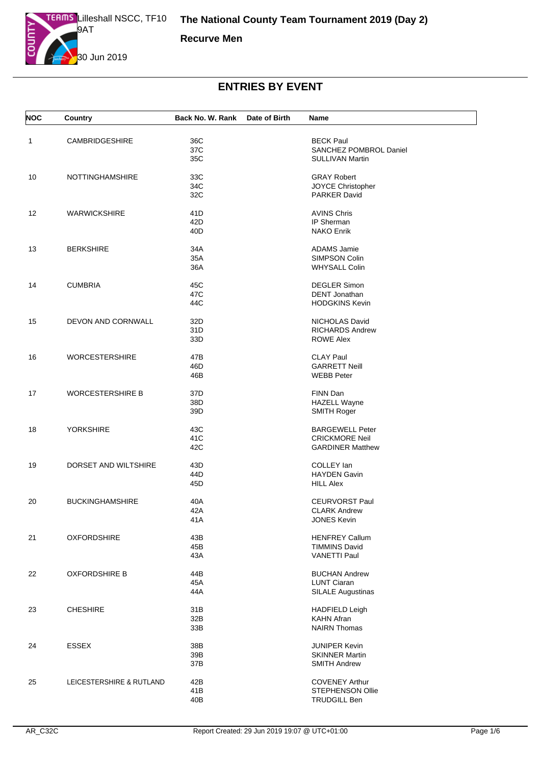

**Recurve Men**

| <b>NOC</b> | Country                  | Back No. W. Rank   | Date of Birth | Name                                                                       |
|------------|--------------------------|--------------------|---------------|----------------------------------------------------------------------------|
| 1          | <b>CAMBRIDGESHIRE</b>    | 36C<br>37C<br>35C  |               | <b>BECK Paul</b><br>SANCHEZ POMBROL Daniel<br><b>SULLIVAN Martin</b>       |
| 10         | <b>NOTTINGHAMSHIRE</b>   | 33C<br>34C<br>32C  |               | <b>GRAY Robert</b><br>JOYCE Christopher<br><b>PARKER David</b>             |
| 12         | <b>WARWICKSHIRE</b>      | 41D<br>42D<br>40D  |               | <b>AVINS Chris</b><br>IP Sherman<br><b>NAKO Enrik</b>                      |
| 13         | <b>BERKSHIRE</b>         | 34A<br>35A<br>36A  |               | <b>ADAMS Jamie</b><br>SIMPSON Colin<br><b>WHYSALL Colin</b>                |
| 14         | <b>CUMBRIA</b>           | 45C<br>47C<br>44C  |               | <b>DEGLER Simon</b><br><b>DENT</b> Jonathan<br><b>HODGKINS Kevin</b>       |
| 15         | DEVON AND CORNWALL       | 32D<br>31D<br>33D  |               | NICHOLAS David<br><b>RICHARDS Andrew</b><br><b>ROWE Alex</b>               |
| 16         | <b>WORCESTERSHIRE</b>    | 47B<br>46D<br>46B  |               | <b>CLAY Paul</b><br><b>GARRETT Neill</b><br><b>WEBB Peter</b>              |
| 17         | <b>WORCESTERSHIRE B</b>  | 37D<br>38D<br>39D  |               | FINN Dan<br><b>HAZELL Wayne</b><br><b>SMITH Roger</b>                      |
| 18         | <b>YORKSHIRE</b>         | 43C<br>41C<br>42C  |               | <b>BARGEWELL Peter</b><br><b>CRICKMORE Neil</b><br><b>GARDINER Matthew</b> |
| 19         | DORSET AND WILTSHIRE     | 43D<br>44D<br>45D  |               | COLLEY lan<br><b>HAYDEN Gavin</b><br><b>HILL Alex</b>                      |
| 20         | <b>BUCKINGHAMSHIRE</b>   | 40A<br>42A<br>41 A |               | <b>CEURVORST Paul</b><br><b>CLARK Andrew</b><br><b>JONES Kevin</b>         |
| 21         | <b>OXFORDSHIRE</b>       | 43B<br>45B<br>43A  |               | <b>HENFREY Callum</b><br><b>TIMMINS David</b><br><b>VANETTI Paul</b>       |
| 22         | <b>OXFORDSHIRE B</b>     | 44B<br>45A<br>44A  |               | <b>BUCHAN Andrew</b><br><b>LUNT Ciaran</b><br><b>SILALE Augustinas</b>     |
| 23         | <b>CHESHIRE</b>          | 31B<br>32B<br>33B  |               | <b>HADFIELD Leigh</b><br><b>KAHN Afran</b><br><b>NAIRN Thomas</b>          |
| 24         | <b>ESSEX</b>             | 38B<br>39B<br>37B  |               | <b>JUNIPER Kevin</b><br><b>SKINNER Martin</b><br><b>SMITH Andrew</b>       |
| 25         | LEICESTERSHIRE & RUTLAND | 42B<br>41B<br>40B  |               | <b>COVENEY Arthur</b><br><b>STEPHENSON Ollie</b><br><b>TRUDGILL Ben</b>    |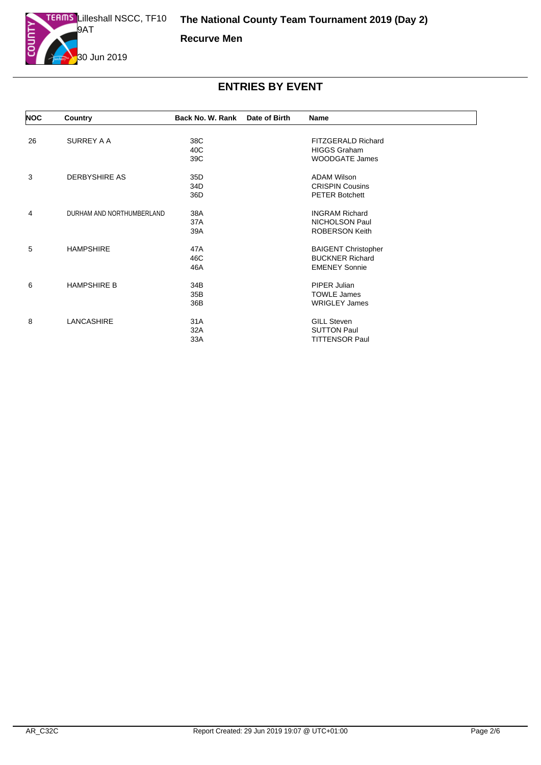

**Recurve Men**

| <b>NOC</b> | Country                   | Back No. W. Rank | Date of Birth | <b>Name</b>                |  |
|------------|---------------------------|------------------|---------------|----------------------------|--|
| 26         | SURREY A A                | 38C              |               | FITZGERALD Richard         |  |
|            |                           | 40C              |               | <b>HIGGS Graham</b>        |  |
|            |                           | 39C              |               | <b>WOODGATE James</b>      |  |
|            |                           |                  |               |                            |  |
| 3          | <b>DERBYSHIRE AS</b>      | 35D              |               | <b>ADAM Wilson</b>         |  |
|            |                           | 34D              |               | <b>CRISPIN Cousins</b>     |  |
|            |                           | 36D              |               | <b>PETER Botchett</b>      |  |
| 4          | DURHAM AND NORTHUMBERLAND | 38A              |               | <b>INGRAM Richard</b>      |  |
|            |                           | 37A              |               | NICHOLSON Paul             |  |
|            |                           | 39A              |               | <b>ROBERSON Keith</b>      |  |
|            |                           |                  |               |                            |  |
| 5          | <b>HAMPSHIRE</b>          | 47A              |               | <b>BAIGENT Christopher</b> |  |
|            |                           | 46C              |               | <b>BUCKNER Richard</b>     |  |
|            |                           | 46A              |               | <b>EMENEY Sonnie</b>       |  |
| 6          | <b>HAMPSHIRE B</b>        | 34B              |               | PIPER Julian               |  |
|            |                           | 35B              |               | <b>TOWLE James</b>         |  |
|            |                           | 36B              |               | <b>WRIGLEY James</b>       |  |
| 8          | LANCASHIRE                | 31A              |               | <b>GILL Steven</b>         |  |
|            |                           |                  |               |                            |  |
|            |                           | 32A              |               | <b>SUTTON Paul</b>         |  |
|            |                           | 33A              |               | <b>TITTENSOR Paul</b>      |  |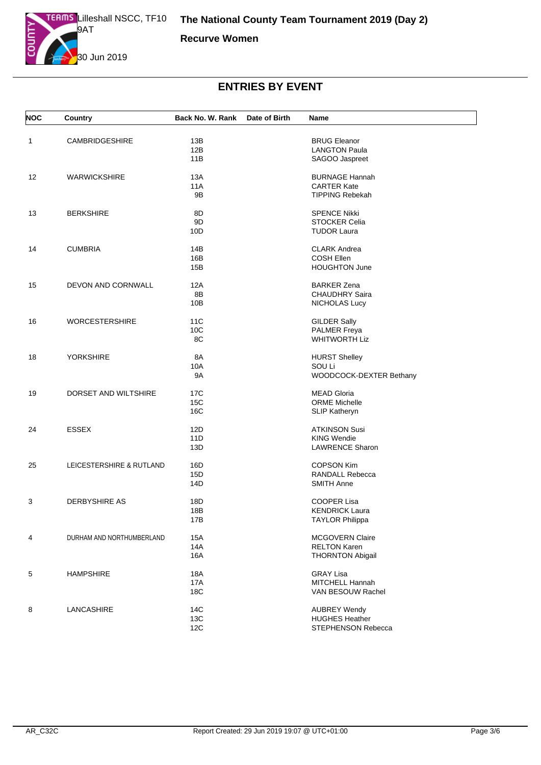

**Recurve Women**

| <b>NOC</b> | Country                   | Back No. W. Rank | Date of Birth | Name                    |
|------------|---------------------------|------------------|---------------|-------------------------|
| 1          | CAMBRIDGESHIRE            | 13B              |               | <b>BRUG Eleanor</b>     |
|            |                           | 12B              |               | <b>LANGTON Paula</b>    |
|            |                           | 11B              |               | SAGOO Jaspreet          |
|            |                           |                  |               |                         |
| 12         | <b>WARWICKSHIRE</b>       | 13A              |               | <b>BURNAGE Hannah</b>   |
|            |                           | 11A              |               | <b>CARTER Kate</b>      |
|            |                           | 9B               |               | <b>TIPPING Rebekah</b>  |
| 13         | <b>BERKSHIRE</b>          | 8D               |               | <b>SPENCE Nikki</b>     |
|            |                           | 9D               |               | <b>STOCKER Celia</b>    |
|            |                           | 10D              |               | <b>TUDOR Laura</b>      |
| 14         | <b>CUMBRIA</b>            | 14B              |               | <b>CLARK Andrea</b>     |
|            |                           | 16B              |               | <b>COSH Ellen</b>       |
|            |                           |                  |               |                         |
|            |                           | 15B              |               | <b>HOUGHTON June</b>    |
| 15         | DEVON AND CORNWALL        | 12A              |               | <b>BARKER Zena</b>      |
|            |                           | 8B               |               | <b>CHAUDHRY Saira</b>   |
|            |                           | 10B              |               | <b>NICHOLAS Lucy</b>    |
| 16         | <b>WORCESTERSHIRE</b>     | 11C              |               | <b>GILDER Sally</b>     |
|            |                           | 10C              |               | <b>PALMER Freya</b>     |
|            |                           | 8C               |               | <b>WHITWORTH Liz</b>    |
|            |                           |                  |               |                         |
| 18         | <b>YORKSHIRE</b>          | 8A               |               | <b>HURST Shelley</b>    |
|            |                           | 10A              |               | SOU Li                  |
|            |                           | 9A               |               | WOODCOCK-DEXTER Bethany |
| 19         | DORSET AND WILTSHIRE      | 17C              |               | <b>MEAD Gloria</b>      |
|            |                           | 15C              |               | <b>ORME</b> Michelle    |
|            |                           | 16C              |               |                         |
|            |                           |                  |               | SLIP Katheryn           |
| 24         | <b>ESSEX</b>              | 12D              |               | <b>ATKINSON Susi</b>    |
|            |                           | 11D              |               | <b>KING Wendie</b>      |
|            |                           | 13D              |               | <b>LAWRENCE Sharon</b>  |
| 25         | LEICESTERSHIRE & RUTLAND  | 16D              |               | <b>COPSON Kim</b>       |
|            |                           | 15D              |               | RANDALL Rebecca         |
|            |                           | 14D              |               | <b>SMITH Anne</b>       |
| 3          | <b>DERBYSHIRE AS</b>      | 18D              |               | <b>COOPER Lisa</b>      |
|            |                           | 18B              |               | <b>KENDRICK Laura</b>   |
|            |                           |                  |               |                         |
|            |                           | 17B              |               | <b>I AYLOR Philippa</b> |
| 4          | DURHAM AND NORTHUMBERLAND | <b>15A</b>       |               | MCGOVERN Claire         |
|            |                           | 14A              |               | <b>RELTON Karen</b>     |
|            |                           | 16A              |               | <b>THORNTON Abigail</b> |
| 5          | <b>HAMPSHIRE</b>          | 18A              |               | <b>GRAY Lisa</b>        |
|            |                           | 17A              |               | <b>MITCHELL Hannah</b>  |
|            |                           | 18C              |               | VAN BESOUW Rachel       |
| 8          | LANCASHIRE                | 14C              |               | <b>AUBREY Wendy</b>     |
|            |                           | 13C              |               | <b>HUGHES Heather</b>   |
|            |                           | 12C              |               | STEPHENSON Rebecca      |
|            |                           |                  |               |                         |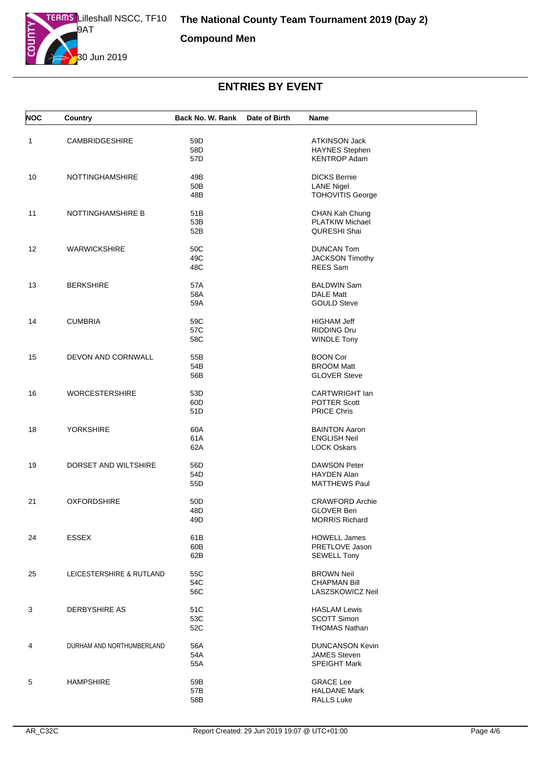

**Compound Men**

| <b>NOC</b> | Country                   | Back No. W. Rank              | Date of Birth | Name                                                                 |
|------------|---------------------------|-------------------------------|---------------|----------------------------------------------------------------------|
| 1          | <b>CAMBRIDGESHIRE</b>     | 59D<br>58D<br>57D             |               | <b>ATKINSON Jack</b><br><b>HAYNES Stephen</b><br><b>KENTROP Adam</b> |
| 10         | <b>NOTTINGHAMSHIRE</b>    | 49B<br>50 <sub>B</sub><br>48B |               | <b>DICKS Bernie</b><br><b>LANE Nigel</b><br><b>TOHOVITIS George</b>  |
| 11         | <b>NOTTINGHAMSHIRE B</b>  | 51 <sub>B</sub><br>53B<br>52B |               | CHAN Kah Chung<br><b>PLATKIW Michael</b><br><b>QURESHI Shai</b>      |
| 12         | <b>WARWICKSHIRE</b>       | 50C<br>49C<br>48C             |               | <b>DUNCAN Tom</b><br><b>JACKSON Timothy</b><br>REES Sam              |
| 13         | <b>BERKSHIRE</b>          | 57A<br>58A<br>59A             |               | <b>BALDWIN Sam</b><br><b>DALE Matt</b><br><b>GOULD Steve</b>         |
| 14         | <b>CUMBRIA</b>            | 59C<br>57C<br>58C             |               | <b>HIGHAM Jeff</b><br><b>RIDDING Dru</b><br><b>WINDLE Tony</b>       |
| 15         | DEVON AND CORNWALL        | 55B<br>54B<br>56B             |               | <b>BOON Cor</b><br><b>BROOM Matt</b><br><b>GLOVER Steve</b>          |
| 16         | <b>WORCESTERSHIRE</b>     | 53D<br>60D<br>51D             |               | CARTWRIGHT lan<br>POTTER Scott<br><b>PRICE Chris</b>                 |
| 18         | <b>YORKSHIRE</b>          | 60A<br>61A<br>62A             |               | <b>BAINTON Aaron</b><br><b>ENGLISH Neil</b><br><b>LOCK Oskars</b>    |
| 19         | DORSET AND WILTSHIRE      | 56D<br>54D<br>55D             |               | <b>DAWSON Peter</b><br><b>HAYDEN Alan</b><br><b>MATTHEWS Paul</b>    |
| 21         | <b>OXFORDSHIRE</b>        | 50 <sub>D</sub><br>48D<br>49D |               | <b>CRAWFORD Archie</b><br><b>GLOVER Ben</b><br><b>MORRIS Richard</b> |
| 24         | <b>ESSEX</b>              | 61B<br>60B<br>62B             |               | <b>HOWELL James</b><br>PRETLOVE Jason<br><b>SEWELL Tony</b>          |
| 25         | LEICESTERSHIRE & RUTLAND  | 55C<br>54C<br>56C             |               | <b>BROWN Neil</b><br><b>CHAPMAN Bill</b><br>LASZSKOWICZ Neil         |
| 3          | <b>DERBYSHIRE AS</b>      | 51C<br>53C<br>52C             |               | <b>HASLAM Lewis</b><br><b>SCOTT Simon</b><br><b>THOMAS Nathan</b>    |
| 4          | DURHAM AND NORTHUMBERLAND | 56A<br>54A<br>55A             |               | <b>DUNCANSON Kevin</b><br><b>JAMES Steven</b><br><b>SPEIGHT Mark</b> |
| 5          | <b>HAMPSHIRE</b>          | 59B<br>57B<br>58B             |               | <b>GRACE Lee</b><br><b>HALDANE Mark</b><br><b>RALLS Luke</b>         |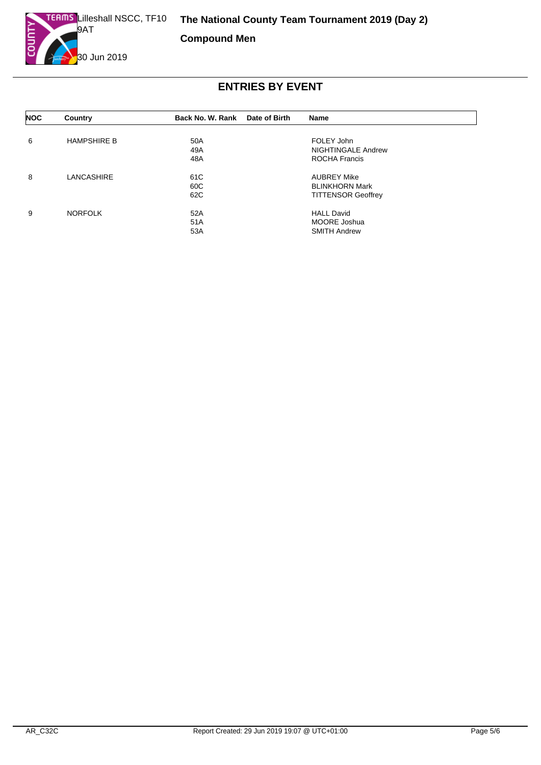

**Compound Men**

| <b>NOC</b> | Country            | Back No. W. Rank | Date of Birth | Name                      |  |
|------------|--------------------|------------------|---------------|---------------------------|--|
| 6          | <b>HAMPSHIRE B</b> | 50A              |               | FOLEY John                |  |
|            |                    | 49A              |               | <b>NIGHTINGALE Andrew</b> |  |
|            |                    | 48A              |               | ROCHA Francis             |  |
| 8          | <b>LANCASHIRE</b>  | 61C              |               | <b>AUBREY Mike</b>        |  |
|            |                    | 60C              |               | <b>BLINKHORN Mark</b>     |  |
|            |                    | 62C              |               | <b>TITTENSOR Geoffrey</b> |  |
| 9          | <b>NORFOLK</b>     | 52A              |               | <b>HALL David</b>         |  |
|            |                    | 51A              |               | <b>MOORE Joshua</b>       |  |
|            |                    | 53A              |               | <b>SMITH Andrew</b>       |  |